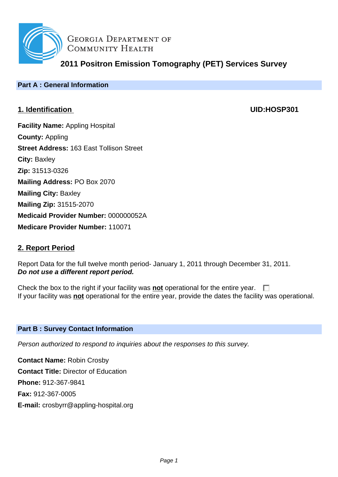

**GEORGIA DEPARTMENT OF** COMMUNITY HEALTH

**2011 Positron Emission Tomography (PET) Services Survey**

## **Part A : General Information**

# **1. Identification UID:HOSP301**

**Facility Name:** Appling Hospital **County:** Appling **Street Address:** 163 East Tollison Street **City:** Baxley **Zip:** 31513-0326 **Mailing Address:** PO Box 2070 **Mailing City:** Baxley **Mailing Zip:** 31515-2070 **Medicaid Provider Number:** 000000052A **Medicare Provider Number:** 110071

# **2. Report Period**

Report Data for the full twelve month period- January 1, 2011 through December 31, 2011. **Do not use a different report period.**

Check the box to the right if your facility was **not** operational for the entire year.  $\Box$ If your facility was **not** operational for the entire year, provide the dates the facility was operational.

## **Part B : Survey Contact Information**

Person authorized to respond to inquiries about the responses to this survey.

**Contact Name:** Robin Crosby **Contact Title:** Director of Education **Phone:** 912-367-9841 **Fax:** 912-367-0005 **E-mail:** crosbyrr@appling-hospital.org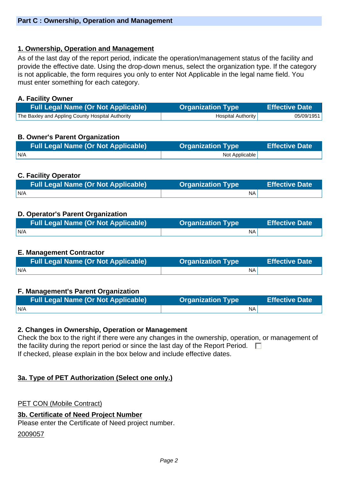## **1. Ownership, Operation and Management**

As of the last day of the report period, indicate the operation/management status of the facility and provide the effective date. Using the drop-down menus, select the organization type. If the category is not applicable, the form requires you only to enter Not Applicable in the legal name field. You must enter something for each category.

#### **A. Facility Owner**

| <b>Full Legal Name (Or Not Applicable)</b>       | <b>Organization Type</b>  | <b>Effective Date</b> |
|--------------------------------------------------|---------------------------|-----------------------|
| The Baxley and Appling County Hospital Authority | <b>Hospital Authority</b> | 05/09/1951            |

## **B. Owner's Parent Organization**

| <b>Full Legal Name (Or Not Applicable)</b> | <b>Organization Type</b> | <b>Effective Date</b> |
|--------------------------------------------|--------------------------|-----------------------|
| N/A                                        | Not Applicable           |                       |

## **C. Facility Operator**

| <b>Full Legal Name (Or Not Applicable)</b> | <b>Organization Type</b> | <b>Effective Date</b> |
|--------------------------------------------|--------------------------|-----------------------|
| N/A                                        | NA.                      |                       |

## **D. Operator's Parent Organization**

| <b>Full Legal Name (Or Not Applicable)</b> | <b>Organization Type</b> | Effective Date |
|--------------------------------------------|--------------------------|----------------|
| N/A                                        | <b>NA</b>                |                |

#### **E. Management Contractor**

| <b>Full Legal Name (Or Not Applicable)</b> | <b>Organization Type</b> | <b>Effective Date</b> |
|--------------------------------------------|--------------------------|-----------------------|
| IN/A                                       | NA                       |                       |

#### **F. Management's Parent Organization**

| <b>Full Legal Name (Or Not Applicable)</b> | <b>Organization Type</b> | <b>Effective Date</b> |
|--------------------------------------------|--------------------------|-----------------------|
| N/A                                        | ΝA                       |                       |

#### **2. Changes in Ownership, Operation or Management**

Check the box to the right if there were any changes in the ownership, operation, or management of the facility during the report period or since the last day of the Report Period.  $\Box$ If checked, please explain in the box below and include effective dates.

## **3a. Type of PET Authorization (Select one only.)**

#### PET CON (Mobile Contract)

#### **3b. Certificate of Need Project Number**

Please enter the Certificate of Need project number.

#### 2009057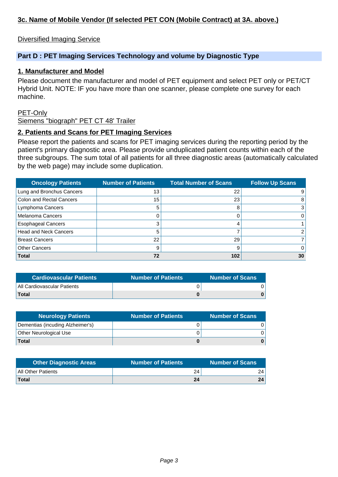# **3c. Name of Mobile Vendor (If selected PET CON (Mobile Contract) at 3A. above.)**

#### Diversified Imaging Service

#### **Part D : PET Imaging Services Technology and volume by Diagnostic Type**

#### **1. Manufacturer and Model**

Please document the manufacturer and model of PET equipment and select PET only or PET/CT Hybrid Unit. NOTE: IF you have more than one scanner, please complete one survey for each machine.

#### PET-Only

Siemens "biograph" PET CT 48' Trailer

#### **2. Patients and Scans for PET Imaging Services**

Please report the patients and scans for PET imaging services during the reporting period by the patient's primary diagnostic area. Please provide unduplicated patient counts within each of the three subgroups. The sum total of all patients for all three diagnostic areas (automatically calculated by the web page) may include some duplication.

| <b>Oncology Patients</b>        | <b>Number of Patients</b> | <b>Total Number of Scans</b> | <b>Follow Up Scans</b> |
|---------------------------------|---------------------------|------------------------------|------------------------|
| Lung and Bronchus Cancers       | 13                        | 22                           | 9                      |
| <b>Colon and Rectal Cancers</b> | 15                        | 23                           | 8                      |
| Lymphoma Cancers                | 5                         | 8                            | $\overline{3}$         |
| <b>Melanoma Cancers</b>         | 0                         |                              | 0                      |
| <b>Esophageal Cancers</b>       | 3                         |                              |                        |
| <b>Head and Neck Cancers</b>    | 5                         |                              |                        |
| <b>Breast Cancers</b>           | 22                        | 29                           |                        |
| <b>Other Cancers</b>            | 9                         | 9                            | 0                      |
| <b>Total</b>                    | 72                        | 102                          | 30                     |

| <b>Cardiovascular Patients</b> | <b>Number of Patients</b> | <b>Number of Scans</b> |
|--------------------------------|---------------------------|------------------------|
| All Cardiovascular Patients    |                           |                        |
| <b>Total</b>                   |                           |                        |

| <b>Neurology Patients</b>        | <b>Number of Patients</b> | <b>Number of Scans</b> |
|----------------------------------|---------------------------|------------------------|
| Dementias (incuding Alzheimer's) |                           |                        |
| Other Neurological Use           |                           |                        |
| <b>Total</b>                     |                           |                        |

| <b>Other Diagnostic Areas</b> | <b>Number of Patients</b> | <b>Number of Scans</b> |
|-------------------------------|---------------------------|------------------------|
| All Other Patients            | 24                        | 24                     |
| Total                         | 24                        | 24                     |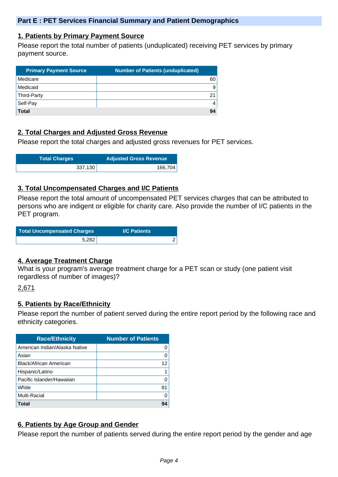#### **1. Patients by Primary Payment Source**

Please report the total number of patients (unduplicated) receiving PET services by primary payment source.

| <b>Primary Payment Source</b> | <b>Number of Patients (unduplicated)</b> |
|-------------------------------|------------------------------------------|
| Medicare                      | 60 l                                     |
| Medicaid                      | 9 <sup>1</sup>                           |
| Third-Party                   | 21                                       |
| Self-Pay                      | 4                                        |
| <b>Total</b>                  | 94                                       |

## **2. Total Charges and Adjusted Gross Revenue**

Please report the total charges and adjusted gross revenues for PET services.

| <b>Total Charges</b> | <b>Adjusted Gross Revenue</b> |
|----------------------|-------------------------------|
| 337,130              | 166,704                       |

#### **3. Total Uncompensated Charges and I/C Patients**

Please report the total amount of uncompensated PET services charges that can be attributed to persons who are indigent or eligible for charity care. Also provide the number of I/C patients in the PET program.

| <b>Total Uncompensated Charges</b> | <b>I/C Patients</b> |
|------------------------------------|---------------------|
| 5.282                              |                     |

#### **4. Average Treatment Charge**

What is your program's average treatment charge for a PET scan or study (one patient visit regardless of number of images)?

#### 2,671

#### **5. Patients by Race/Ethnicity**

Please report the number of patient served during the entire report period by the following race and ethnicity categories.

| <b>Race/Ethnicity</b>         | <b>Number of Patients</b> |
|-------------------------------|---------------------------|
| American Indian/Alaska Native | 0                         |
| Asian                         | O                         |
| Black/African American        | 12                        |
| Hispanic/Latino               |                           |
| Pacific Islander/Hawaiian     | O                         |
| White                         | 81                        |
| <b>Multi-Racial</b>           | O                         |
| Total                         | 94                        |

## **6. Patients by Age Group and Gender**

Please report the number of patients served during the entire report period by the gender and age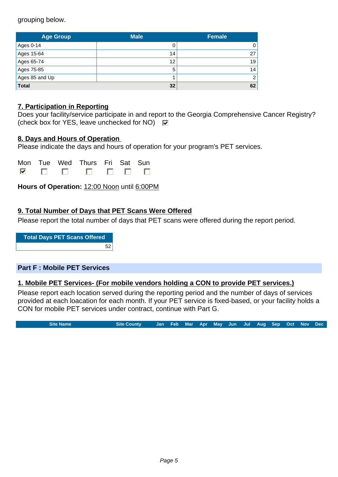grouping below.

| <b>Age Group</b> | <b>Male</b> | <b>Female</b>  |
|------------------|-------------|----------------|
| Ages 0-14        |             | 0              |
| Ages 15-64       | 14          | 27             |
| Ages 65-74       | 12          | 19             |
| Ages 75-85       | 5           | 14             |
| Ages 85 and Up   |             | $\overline{2}$ |
| <b>Total</b>     | 32          | 62             |

## **7. Participation in Reporting**

|                                                                     | Does your facility/service participate in and report to the Georgia Comprehensive Cancer Registry? |
|---------------------------------------------------------------------|----------------------------------------------------------------------------------------------------|
| (check box for YES, leave unchecked for NO) $\overline{\mathbf{v}}$ |                                                                                                    |

#### **8. Days and Hours of Operation**

Please indicate the days and hours of operation for your program's PET services.

|  | Mon Tue Wed Thurs Fri Sat Sun |  |  |
|--|-------------------------------|--|--|
|  |                               |  |  |

**Hours of Operation:** 12:00 Noon until 6:00PM

## **9. Total Number of Days that PET Scans Were Offered**

Please report the total number of days that PET scans were offered during the report period.

**Total Days PET Scans Offered** 52

#### **Part F : Mobile PET Services**

#### **1. Mobile PET Services- (For mobile vendors holding a CON to provide PET services.)**

Please report each location served during the reporting period and the number of days of services provided at each loacation for each month. If your PET service is fixed-based, or your facility holds a CON for mobile PET services under contract, continue with Part G.

**Site Name Site County Jan Feb Mar Apr May Jun Jul Aug Sep Oct Nov Dec**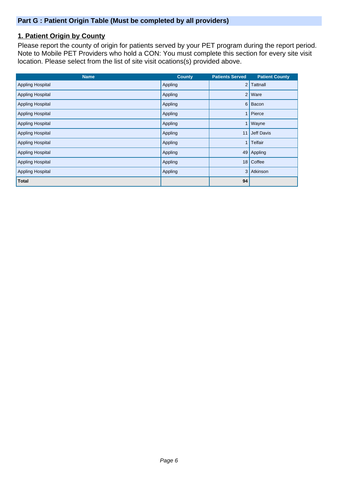# **1. Patient Origin by County**

Please report the county of origin for patients served by your PET program during the report period. Note to Mobile PET Providers who hold a CON: You must complete this section for every site visit location. Please select from the list of site visit ocations(s) provided above.

| <b>Name</b>             | <b>County</b> | <b>Patients Served</b> | <b>Patient County</b> |
|-------------------------|---------------|------------------------|-----------------------|
| <b>Appling Hospital</b> | Appling       | $\overline{2}$         | <b>Tattnall</b>       |
| <b>Appling Hospital</b> | Appling       | 2 <sup>1</sup>         | Ware                  |
| <b>Appling Hospital</b> | Appling       | 6                      | Bacon                 |
| <b>Appling Hospital</b> | Appling       |                        | Pierce                |
| <b>Appling Hospital</b> | Appling       |                        | Wayne                 |
| <b>Appling Hospital</b> | Appling       | 11                     | <b>Jeff Davis</b>     |
| <b>Appling Hospital</b> | Appling       |                        | Telfair               |
| <b>Appling Hospital</b> | Appling       | 49                     | Appling               |
| Appling Hospital        | Appling       | 18                     | Coffee                |
| <b>Appling Hospital</b> | Appling       | 3                      | Atkinson              |
| <b>Total</b>            |               | 94                     |                       |